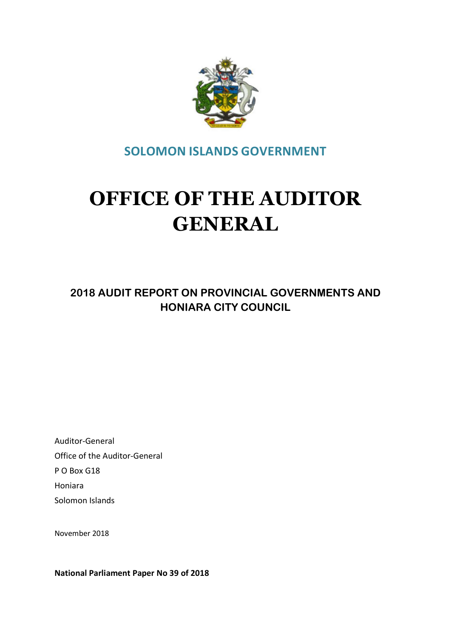

SOLOMON ISLANDS GOVERNMENT

# OFFICE OF THE AUDITOR GENERAL

2018 AUDIT REPORT ON PROVINCIAL GOVERNMENTS AND HONIARA CITY COUNCIL

Auditor-General Office of the Auditor-General P O Box G18 Honiara Solomon Islands

November 2018

National Parliament Paper No 39 of 2018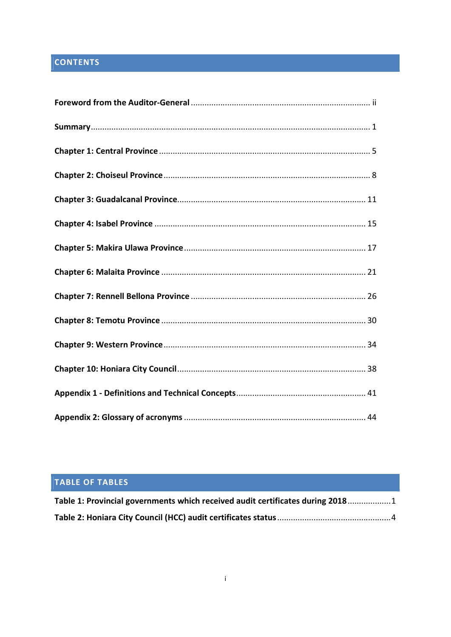# **CONTENTS**

# TABLE OF TABLES

| Table 1: Provincial governments which received audit certificates during 20181 |
|--------------------------------------------------------------------------------|
|                                                                                |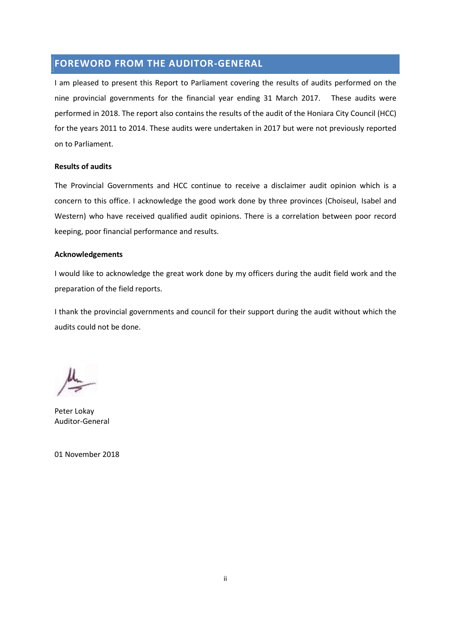# FOREWORD FROM THE AUDITOR-GENERAL

I am pleased to present this Report to Parliament covering the results of audits performed on the nine provincial governments for the financial year ending 31 March 2017. These audits were performed in 2018. The report also contains the results of the audit of the Honiara City Council (HCC) for the years 2011 to 2014. These audits were undertaken in 2017 but were not previously reported on to Parliament.

## Results of audits

The Provincial Governments and HCC continue to receive a disclaimer audit opinion which is a concern to this office. I acknowledge the good work done by three provinces (Choiseul, Isabel and Western) who have received qualified audit opinions. There is a correlation between poor record keeping, poor financial performance and results.

#### Acknowledgements

I would like to acknowledge the great work done by my officers during the audit field work and the preparation of the field reports.

I thank the provincial governments and council for their support during the audit without which the audits could not be done.

Peter Lokay Auditor-General

01 November 2018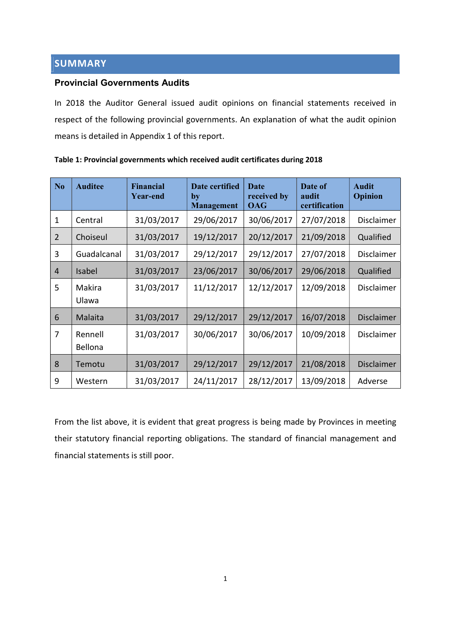# SUMMARY

## Provincial Governments Audits

In 2018 the Auditor General issued audit opinions on financial statements received in respect of the following provincial governments. An explanation of what the audit opinion means is detailed in Appendix 1 of this report.

| N <sub>0</sub> | <b>Auditee</b>     | Financial<br><b>Year-end</b> | Date certified<br>by<br><b>Management</b> | <b>Date</b><br>received by<br><b>OAG</b> | Date of<br>audit<br>certification | Audit<br>Opinion  |
|----------------|--------------------|------------------------------|-------------------------------------------|------------------------------------------|-----------------------------------|-------------------|
| 1              | Central            | 31/03/2017                   | 29/06/2017                                | 30/06/2017                               | 27/07/2018                        | Disclaimer        |
| 2              | Choiseul           | 31/03/2017                   | 19/12/2017                                | 20/12/2017                               | 21/09/2018                        | Qualified         |
| 3              | Guadalcanal        | 31/03/2017                   | 29/12/2017                                | 29/12/2017                               | 27/07/2018                        | Disclaimer        |
| 4              | Isabel             | 31/03/2017                   | 23/06/2017                                | 30/06/2017                               | 29/06/2018                        | Qualified         |
| 5              | Makira<br>Ulawa    | 31/03/2017                   | 11/12/2017                                | 12/12/2017                               | 12/09/2018                        | Disclaimer        |
| 6              | Malaita            | 31/03/2017                   | 29/12/2017                                | 29/12/2017                               | 16/07/2018                        | <b>Disclaimer</b> |
| $\overline{7}$ | Rennell<br>Bellona | 31/03/2017                   | 30/06/2017                                | 30/06/2017                               | 10/09/2018                        | Disclaimer        |
| 8              | Temotu             | 31/03/2017                   | 29/12/2017                                | 29/12/2017                               | 21/08/2018                        | <b>Disclaimer</b> |
| 9              | Western            | 31/03/2017                   | 24/11/2017                                | 28/12/2017                               | 13/09/2018                        | Adverse           |

## Table 1: Provincial governments which received audit certificates during 2018

From the list above, it is evident that great progress is being made by Provinces in meeting their statutory financial reporting obligations. The standard of financial management and financial statements is still poor.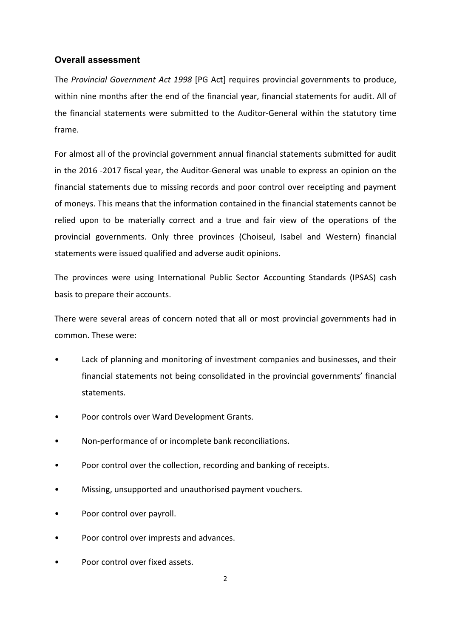## Overall assessment

The Provincial Government Act 1998 [PG Act] requires provincial governments to produce, within nine months after the end of the financial year, financial statements for audit. All of the financial statements were submitted to the Auditor-General within the statutory time frame.

For almost all of the provincial government annual financial statements submitted for audit in the 2016 -2017 fiscal year, the Auditor-General was unable to express an opinion on the financial statements due to missing records and poor control over receipting and payment of moneys. This means that the information contained in the financial statements cannot be relied upon to be materially correct and a true and fair view of the operations of the provincial governments. Only three provinces (Choiseul, Isabel and Western) financial statements were issued qualified and adverse audit opinions.

The provinces were using International Public Sector Accounting Standards (IPSAS) cash basis to prepare their accounts.

There were several areas of concern noted that all or most provincial governments had in common. These were:

- Lack of planning and monitoring of investment companies and businesses, and their financial statements not being consolidated in the provincial governments' financial statements.
- Poor controls over Ward Development Grants.
- Non-performance of or incomplete bank reconciliations.
- Poor control over the collection, recording and banking of receipts.
- Missing, unsupported and unauthorised payment vouchers.
- Poor control over payroll.
- Poor control over imprests and advances.
- Poor control over fixed assets.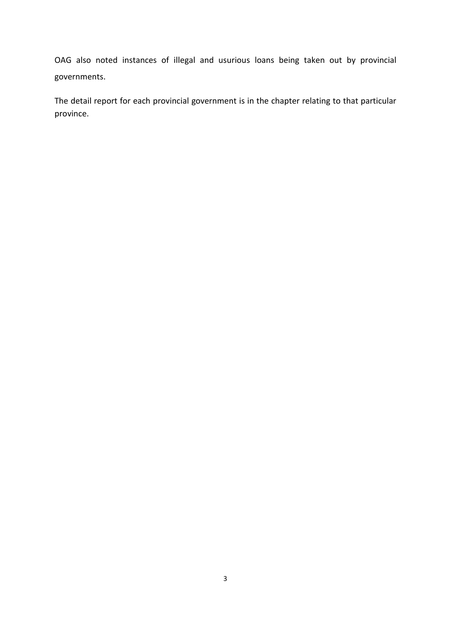OAG also noted instances of illegal and usurious loans being taken out by provincial governments.

The detail report for each provincial government is in the chapter relating to that particular province.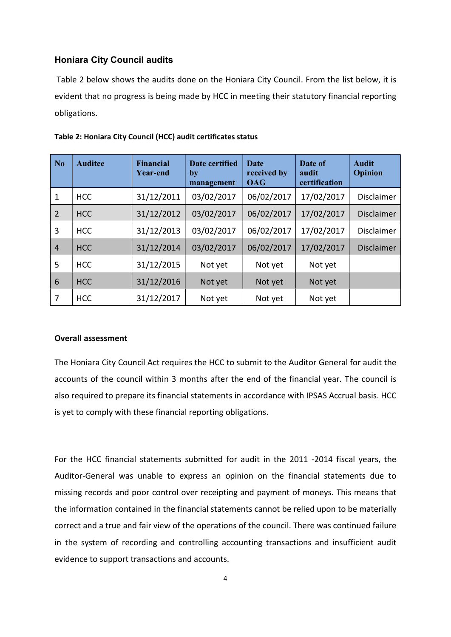## Honiara City Council audits

 Table 2 below shows the audits done on the Honiara City Council. From the list below, it is evident that no progress is being made by HCC in meeting their statutory financial reporting obligations.

| N <sub>o</sub> | <b>Auditee</b> | <b>Financial</b><br><b>Year-end</b> | <b>Date certified</b><br>by<br>management | <b>Date</b><br>received by<br><b>OAG</b> | Date of<br>audit<br>certification | <b>Audit</b><br>Opinion |
|----------------|----------------|-------------------------------------|-------------------------------------------|------------------------------------------|-----------------------------------|-------------------------|
| 1              | <b>HCC</b>     | 31/12/2011                          | 03/02/2017                                | 06/02/2017                               | 17/02/2017                        | <b>Disclaimer</b>       |
| $\overline{2}$ | <b>HCC</b>     | 31/12/2012                          | 03/02/2017                                | 06/02/2017                               | 17/02/2017                        | <b>Disclaimer</b>       |
| 3              | <b>HCC</b>     | 31/12/2013                          | 03/02/2017                                | 06/02/2017                               | 17/02/2017                        | Disclaimer              |
| $\overline{4}$ | <b>HCC</b>     | 31/12/2014                          | 03/02/2017                                | 06/02/2017                               | 17/02/2017                        | <b>Disclaimer</b>       |
| 5              | <b>HCC</b>     | 31/12/2015                          | Not yet                                   | Not yet                                  | Not yet                           |                         |
| 6              | <b>HCC</b>     | 31/12/2016                          | Not yet                                   | Not yet                                  | Not yet                           |                         |
| 7              | <b>HCC</b>     | 31/12/2017                          | Not yet                                   | Not yet                                  | Not yet                           |                         |

|  | Table 2: Honiara City Council (HCC) audit certificates status |
|--|---------------------------------------------------------------|
|--|---------------------------------------------------------------|

#### Overall assessment

The Honiara City Council Act requires the HCC to submit to the Auditor General for audit the accounts of the council within 3 months after the end of the financial year. The council is also required to prepare its financial statements in accordance with IPSAS Accrual basis. HCC is yet to comply with these financial reporting obligations.

For the HCC financial statements submitted for audit in the 2011 -2014 fiscal years, the Auditor-General was unable to express an opinion on the financial statements due to missing records and poor control over receipting and payment of moneys. This means that the information contained in the financial statements cannot be relied upon to be materially correct and a true and fair view of the operations of the council. There was continued failure in the system of recording and controlling accounting transactions and insufficient audit evidence to support transactions and accounts.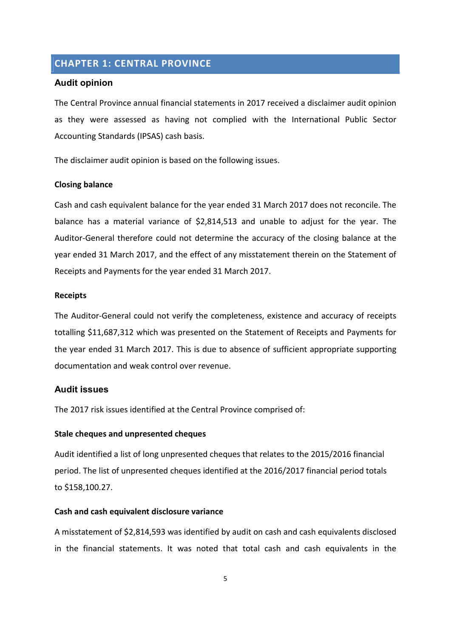# CHAPTER 1: CENTRAL PROVINCE

## Audit opinion

The Central Province annual financial statements in 2017 received a disclaimer audit opinion as they were assessed as having not complied with the International Public Sector Accounting Standards (IPSAS) cash basis.

The disclaimer audit opinion is based on the following issues.

## Closing balance

Cash and cash equivalent balance for the year ended 31 March 2017 does not reconcile. The balance has a material variance of \$2,814,513 and unable to adjust for the year. The Auditor-General therefore could not determine the accuracy of the closing balance at the year ended 31 March 2017, and the effect of any misstatement therein on the Statement of Receipts and Payments for the year ended 31 March 2017.

## **Receipts**

The Auditor-General could not verify the completeness, existence and accuracy of receipts totalling \$11,687,312 which was presented on the Statement of Receipts and Payments for the year ended 31 March 2017. This is due to absence of sufficient appropriate supporting documentation and weak control over revenue.

## Audit issues

The 2017 risk issues identified at the Central Province comprised of:

## Stale cheques and unpresented cheques

Audit identified a list of long unpresented cheques that relates to the 2015/2016 financial period. The list of unpresented cheques identified at the 2016/2017 financial period totals to \$158,100.27.

## Cash and cash equivalent disclosure variance

A misstatement of \$2,814,593 was identified by audit on cash and cash equivalents disclosed in the financial statements. It was noted that total cash and cash equivalents in the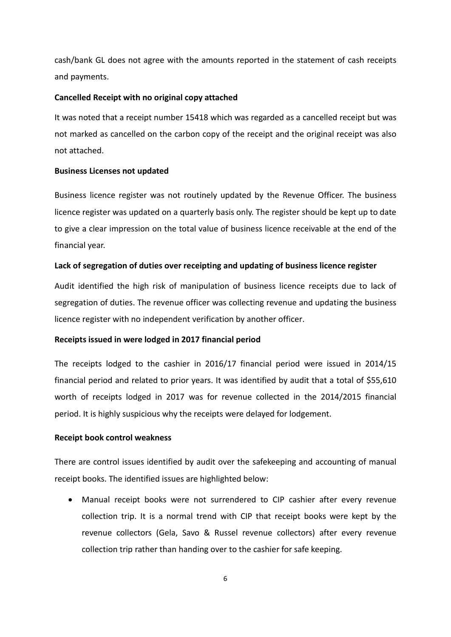cash/bank GL does not agree with the amounts reported in the statement of cash receipts and payments.

#### Cancelled Receipt with no original copy attached

It was noted that a receipt number 15418 which was regarded as a cancelled receipt but was not marked as cancelled on the carbon copy of the receipt and the original receipt was also not attached.

#### Business Licenses not updated

Business licence register was not routinely updated by the Revenue Officer. The business licence register was updated on a quarterly basis only. The register should be kept up to date to give a clear impression on the total value of business licence receivable at the end of the financial year.

#### Lack of segregation of duties over receipting and updating of business licence register

Audit identified the high risk of manipulation of business licence receipts due to lack of segregation of duties. The revenue officer was collecting revenue and updating the business licence register with no independent verification by another officer.

#### Receipts issued in were lodged in 2017 financial period

The receipts lodged to the cashier in 2016/17 financial period were issued in 2014/15 financial period and related to prior years. It was identified by audit that a total of \$55,610 worth of receipts lodged in 2017 was for revenue collected in the 2014/2015 financial period. It is highly suspicious why the receipts were delayed for lodgement.

#### Receipt book control weakness

There are control issues identified by audit over the safekeeping and accounting of manual receipt books. The identified issues are highlighted below:

 Manual receipt books were not surrendered to CIP cashier after every revenue collection trip. It is a normal trend with CIP that receipt books were kept by the revenue collectors (Gela, Savo & Russel revenue collectors) after every revenue collection trip rather than handing over to the cashier for safe keeping.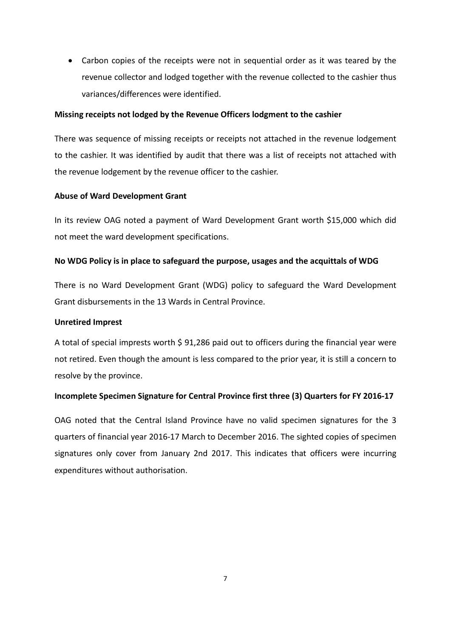Carbon copies of the receipts were not in sequential order as it was teared by the revenue collector and lodged together with the revenue collected to the cashier thus variances/differences were identified.

## Missing receipts not lodged by the Revenue Officers lodgment to the cashier

There was sequence of missing receipts or receipts not attached in the revenue lodgement to the cashier. It was identified by audit that there was a list of receipts not attached with the revenue lodgement by the revenue officer to the cashier.

## Abuse of Ward Development Grant

In its review OAG noted a payment of Ward Development Grant worth \$15,000 which did not meet the ward development specifications.

## No WDG Policy is in place to safeguard the purpose, usages and the acquittals of WDG

There is no Ward Development Grant (WDG) policy to safeguard the Ward Development Grant disbursements in the 13 Wards in Central Province.

## Unretired Imprest

A total of special imprests worth \$ 91,286 paid out to officers during the financial year were not retired. Even though the amount is less compared to the prior year, it is still a concern to resolve by the province.

## Incomplete Specimen Signature for Central Province first three (3) Quarters for FY 2016-17

OAG noted that the Central Island Province have no valid specimen signatures for the 3 quarters of financial year 2016-17 March to December 2016. The sighted copies of specimen signatures only cover from January 2nd 2017. This indicates that officers were incurring expenditures without authorisation.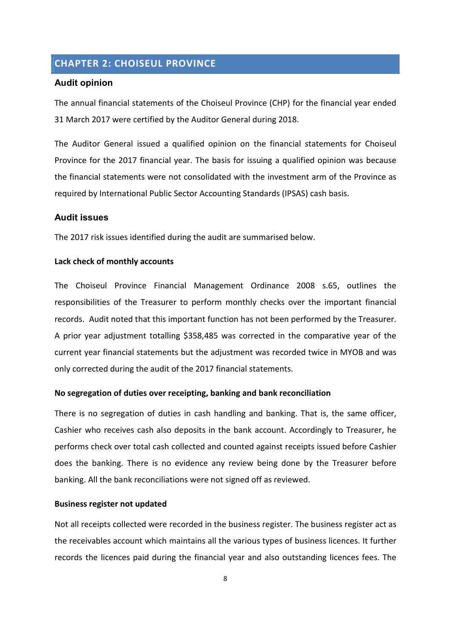# CHAPTER 2: CHOISEUL PROVINCE

## Audit opinion

The annual financial statements of the Choiseul Province (CHP) for the financial year ended 31 March 2017 were certified by the Auditor General during 2018.

The Auditor General issued a qualified opinion on the financial statements for Choiseul Province for the 2017 financial year. The basis for issuing a qualified opinion was because the financial statements were not consolidated with the investment arm of the Province as required by International Public Sector Accounting Standards (IPSAS) cash basis.

#### Audit issues

The 2017 risk issues identified during the audit are summarised below.

## Lack check of monthly accounts

The Choiseul Province Financial Management Ordinance 2008 s.65, outlines the responsibilities of the Treasurer to perform monthly checks over the important financial records. Audit noted that this important function has not been performed by the Treasurer. A prior year adjustment totalling \$358,485 was corrected in the comparative year of the current year financial statements but the adjustment was recorded twice in MYOB and was only corrected during the audit of the 2017 financial statements.

## No segregation of duties over receipting, banking and bank reconciliation

There is no segregation of duties in cash handling and banking. That is, the same officer, Cashier who receives cash also deposits in the bank account. Accordingly to Treasurer, he performs check over total cash collected and counted against receipts issued before Cashier does the banking. There is no evidence any review being done by the Treasurer before banking. All the bank reconciliations were not signed off as reviewed.

## Business register not updated

Not all receipts collected were recorded in the business register. The business register act as the receivables account which maintains all the various types of business licences. It further records the licences paid during the financial year and also outstanding licences fees. The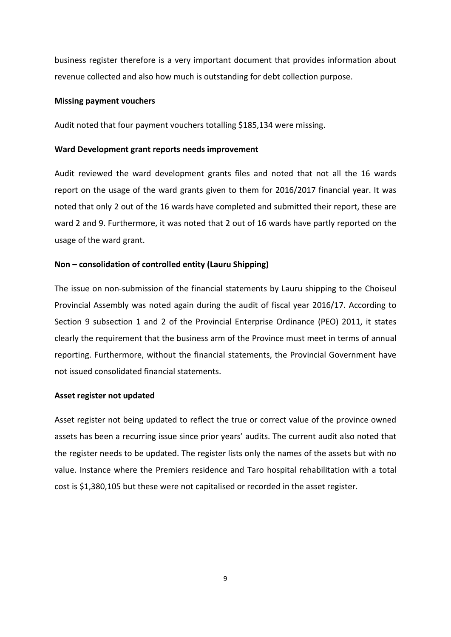business register therefore is a very important document that provides information about revenue collected and also how much is outstanding for debt collection purpose.

#### Missing payment vouchers

Audit noted that four payment vouchers totalling \$185,134 were missing.

## Ward Development grant reports needs improvement

Audit reviewed the ward development grants files and noted that not all the 16 wards report on the usage of the ward grants given to them for 2016/2017 financial year. It was noted that only 2 out of the 16 wards have completed and submitted their report, these are ward 2 and 9. Furthermore, it was noted that 2 out of 16 wards have partly reported on the usage of the ward grant.

## Non – consolidation of controlled entity (Lauru Shipping)

The issue on non-submission of the financial statements by Lauru shipping to the Choiseul Provincial Assembly was noted again during the audit of fiscal year 2016/17. According to Section 9 subsection 1 and 2 of the Provincial Enterprise Ordinance (PEO) 2011, it states clearly the requirement that the business arm of the Province must meet in terms of annual reporting. Furthermore, without the financial statements, the Provincial Government have not issued consolidated financial statements.

#### Asset register not updated

Asset register not being updated to reflect the true or correct value of the province owned assets has been a recurring issue since prior years' audits. The current audit also noted that the register needs to be updated. The register lists only the names of the assets but with no value. Instance where the Premiers residence and Taro hospital rehabilitation with a total cost is \$1,380,105 but these were not capitalised or recorded in the asset register.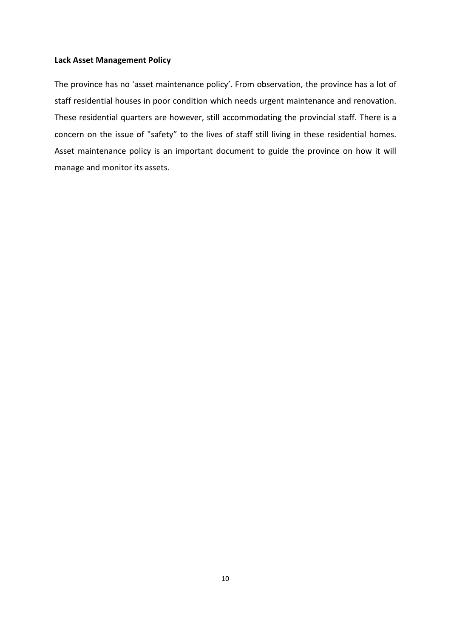## Lack Asset Management Policy

The province has no 'asset maintenance policy'. From observation, the province has a lot of staff residential houses in poor condition which needs urgent maintenance and renovation. These residential quarters are however, still accommodating the provincial staff. There is a concern on the issue of "safety" to the lives of staff still living in these residential homes. Asset maintenance policy is an important document to guide the province on how it will manage and monitor its assets.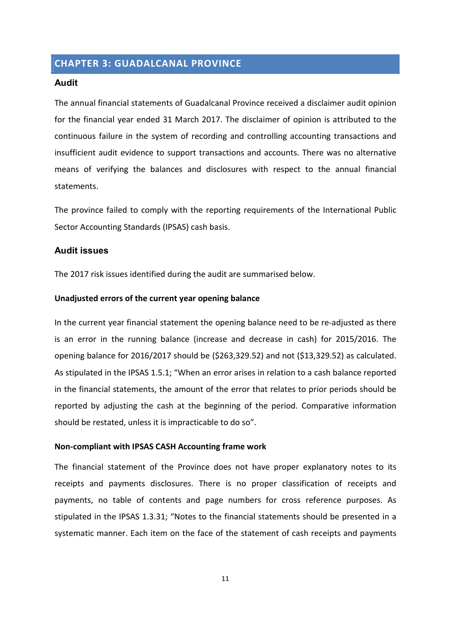# CHAPTER 3: GUADALCANAL PROVINCE

#### Audit

The annual financial statements of Guadalcanal Province received a disclaimer audit opinion for the financial year ended 31 March 2017. The disclaimer of opinion is attributed to the continuous failure in the system of recording and controlling accounting transactions and insufficient audit evidence to support transactions and accounts. There was no alternative means of verifying the balances and disclosures with respect to the annual financial statements.

The province failed to comply with the reporting requirements of the International Public Sector Accounting Standards (IPSAS) cash basis.

## Audit issues

The 2017 risk issues identified during the audit are summarised below.

#### Unadjusted errors of the current year opening balance

In the current year financial statement the opening balance need to be re-adjusted as there is an error in the running balance (increase and decrease in cash) for 2015/2016. The opening balance for 2016/2017 should be (\$263,329.52) and not (\$13,329.52) as calculated. As stipulated in the IPSAS 1.5.1; "When an error arises in relation to a cash balance reported in the financial statements, the amount of the error that relates to prior periods should be reported by adjusting the cash at the beginning of the period. Comparative information should be restated, unless it is impracticable to do so".

#### Non-compliant with IPSAS CASH Accounting frame work

The financial statement of the Province does not have proper explanatory notes to its receipts and payments disclosures. There is no proper classification of receipts and payments, no table of contents and page numbers for cross reference purposes. As stipulated in the IPSAS 1.3.31; "Notes to the financial statements should be presented in a systematic manner. Each item on the face of the statement of cash receipts and payments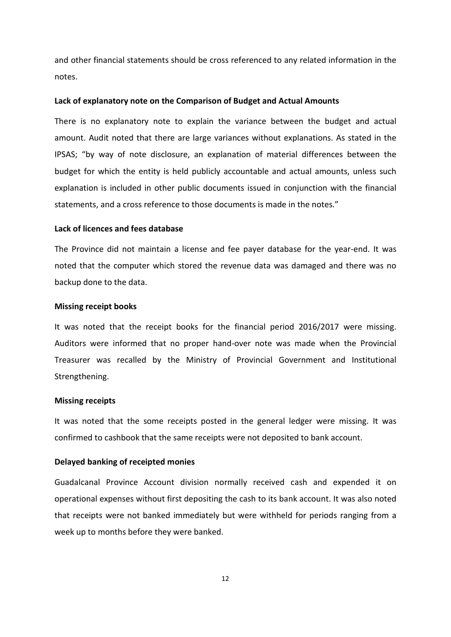and other financial statements should be cross referenced to any related information in the notes.

#### Lack of explanatory note on the Comparison of Budget and Actual Amounts

There is no explanatory note to explain the variance between the budget and actual amount. Audit noted that there are large variances without explanations. As stated in the IPSAS; "by way of note disclosure, an explanation of material differences between the budget for which the entity is held publicly accountable and actual amounts, unless such explanation is included in other public documents issued in conjunction with the financial statements, and a cross reference to those documents is made in the notes."

## Lack of licences and fees database

The Province did not maintain a license and fee payer database for the year-end. It was noted that the computer which stored the revenue data was damaged and there was no backup done to the data.

#### Missing receipt books

It was noted that the receipt books for the financial period 2016/2017 were missing. Auditors were informed that no proper hand-over note was made when the Provincial Treasurer was recalled by the Ministry of Provincial Government and Institutional Strengthening.

#### Missing receipts

It was noted that the some receipts posted in the general ledger were missing. It was confirmed to cashbook that the same receipts were not deposited to bank account.

### Delayed banking of receipted monies

Guadalcanal Province Account division normally received cash and expended it on operational expenses without first depositing the cash to its bank account. It was also noted that receipts were not banked immediately but were withheld for periods ranging from a week up to months before they were banked.

12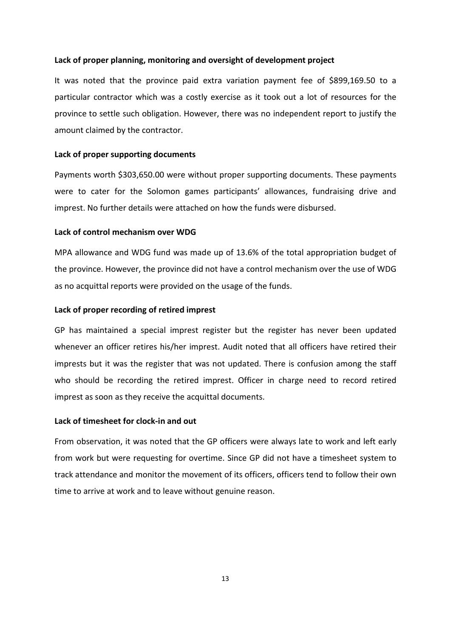#### Lack of proper planning, monitoring and oversight of development project

It was noted that the province paid extra variation payment fee of \$899,169.50 to a particular contractor which was a costly exercise as it took out a lot of resources for the province to settle such obligation. However, there was no independent report to justify the amount claimed by the contractor.

#### Lack of proper supporting documents

Payments worth \$303,650.00 were without proper supporting documents. These payments were to cater for the Solomon games participants' allowances, fundraising drive and imprest. No further details were attached on how the funds were disbursed.

#### Lack of control mechanism over WDG

MPA allowance and WDG fund was made up of 13.6% of the total appropriation budget of the province. However, the province did not have a control mechanism over the use of WDG as no acquittal reports were provided on the usage of the funds.

## Lack of proper recording of retired imprest

GP has maintained a special imprest register but the register has never been updated whenever an officer retires his/her imprest. Audit noted that all officers have retired their imprests but it was the register that was not updated. There is confusion among the staff who should be recording the retired imprest. Officer in charge need to record retired imprest as soon as they receive the acquittal documents.

## Lack of timesheet for clock-in and out

From observation, it was noted that the GP officers were always late to work and left early from work but were requesting for overtime. Since GP did not have a timesheet system to track attendance and monitor the movement of its officers, officers tend to follow their own time to arrive at work and to leave without genuine reason.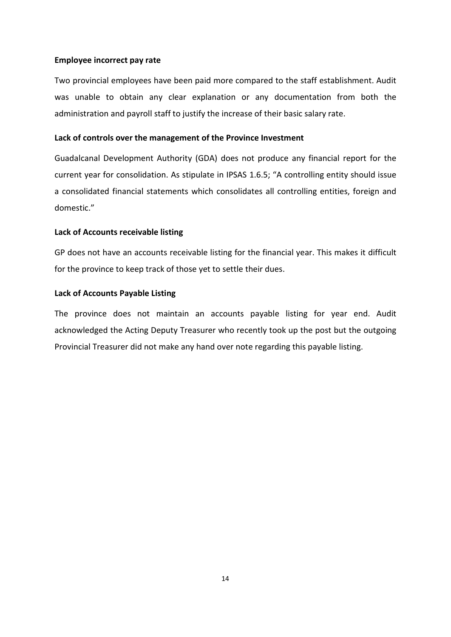## Employee incorrect pay rate

Two provincial employees have been paid more compared to the staff establishment. Audit was unable to obtain any clear explanation or any documentation from both the administration and payroll staff to justify the increase of their basic salary rate.

## Lack of controls over the management of the Province Investment

Guadalcanal Development Authority (GDA) does not produce any financial report for the current year for consolidation. As stipulate in IPSAS 1.6.5; "A controlling entity should issue a consolidated financial statements which consolidates all controlling entities, foreign and domestic."

## Lack of Accounts receivable listing

GP does not have an accounts receivable listing for the financial year. This makes it difficult for the province to keep track of those yet to settle their dues.

## Lack of Accounts Payable Listing

The province does not maintain an accounts payable listing for year end. Audit acknowledged the Acting Deputy Treasurer who recently took up the post but the outgoing Provincial Treasurer did not make any hand over note regarding this payable listing.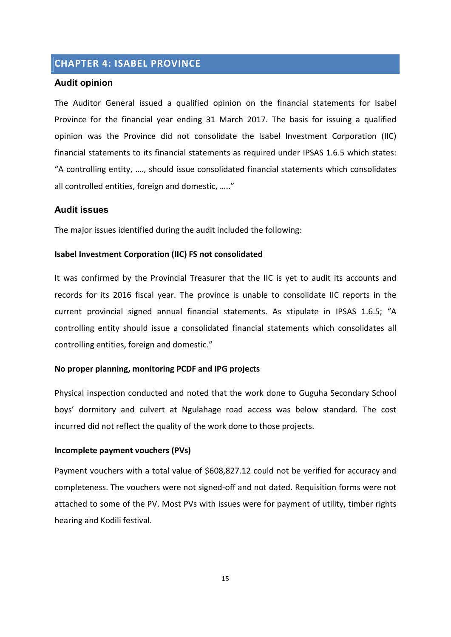## CHAPTER 4: ISABEL PROVINCE

#### Audit opinion

The Auditor General issued a qualified opinion on the financial statements for Isabel Province for the financial year ending 31 March 2017. The basis for issuing a qualified opinion was the Province did not consolidate the Isabel Investment Corporation (IIC) financial statements to its financial statements as required under IPSAS 1.6.5 which states: "A controlling entity, …., should issue consolidated financial statements which consolidates all controlled entities, foreign and domestic, ….."

## Audit issues

The major issues identified during the audit included the following:

#### Isabel Investment Corporation (IIC) FS not consolidated

It was confirmed by the Provincial Treasurer that the IIC is yet to audit its accounts and records for its 2016 fiscal year. The province is unable to consolidate IIC reports in the current provincial signed annual financial statements. As stipulate in IPSAS 1.6.5; "A controlling entity should issue a consolidated financial statements which consolidates all controlling entities, foreign and domestic."

## No proper planning, monitoring PCDF and IPG projects

Physical inspection conducted and noted that the work done to Guguha Secondary School boys' dormitory and culvert at Ngulahage road access was below standard. The cost incurred did not reflect the quality of the work done to those projects.

## Incomplete payment vouchers (PVs)

Payment vouchers with a total value of \$608,827.12 could not be verified for accuracy and completeness. The vouchers were not signed-off and not dated. Requisition forms were not attached to some of the PV. Most PVs with issues were for payment of utility, timber rights hearing and Kodili festival.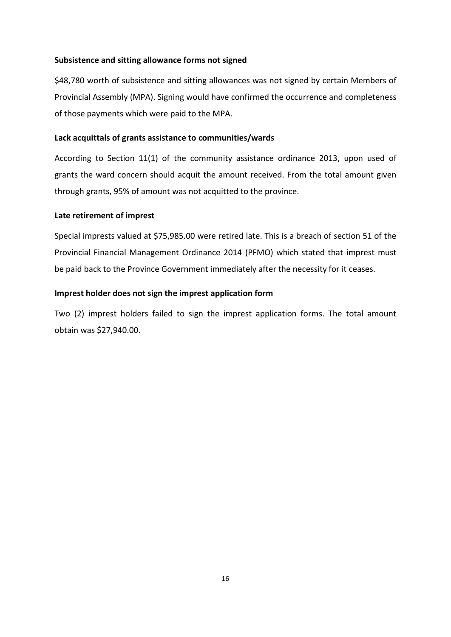## Subsistence and sitting allowance forms not signed

\$48,780 worth of subsistence and sitting allowances was not signed by certain Members of Provincial Assembly (MPA). Signing would have confirmed the occurrence and completeness of those payments which were paid to the MPA.

## Lack acquittals of grants assistance to communities/wards

According to Section 11(1) of the community assistance ordinance 2013, upon used of grants the ward concern should acquit the amount received. From the total amount given through grants, 95% of amount was not acquitted to the province.

## Late retirement of imprest

Special imprests valued at \$75,985.00 were retired late. This is a breach of section 51 of the Provincial Financial Management Ordinance 2014 (PFMO) which stated that imprest must be paid back to the Province Government immediately after the necessity for it ceases.

## Imprest holder does not sign the imprest application form

Two (2) imprest holders failed to sign the imprest application forms. The total amount obtain was \$27,940.00.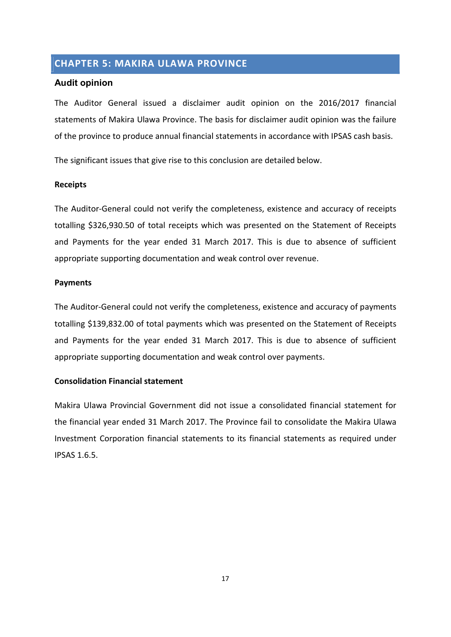# CHAPTER 5: MAKIRA ULAWA PROVINCE

## Audit opinion

The Auditor General issued a disclaimer audit opinion on the 2016/2017 financial statements of Makira Ulawa Province. The basis for disclaimer audit opinion was the failure of the province to produce annual financial statements in accordance with IPSAS cash basis.

The significant issues that give rise to this conclusion are detailed below.

## Receipts

The Auditor-General could not verify the completeness, existence and accuracy of receipts totalling \$326,930.50 of total receipts which was presented on the Statement of Receipts and Payments for the year ended 31 March 2017. This is due to absence of sufficient appropriate supporting documentation and weak control over revenue.

## Payments

The Auditor-General could not verify the completeness, existence and accuracy of payments totalling \$139,832.00 of total payments which was presented on the Statement of Receipts and Payments for the year ended 31 March 2017. This is due to absence of sufficient appropriate supporting documentation and weak control over payments.

## Consolidation Financial statement

Makira Ulawa Provincial Government did not issue a consolidated financial statement for the financial year ended 31 March 2017. The Province fail to consolidate the Makira Ulawa Investment Corporation financial statements to its financial statements as required under IPSAS 1.6.5.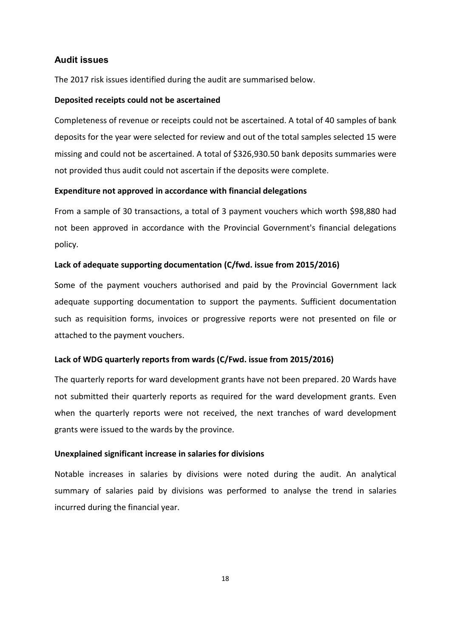## Audit issues

The 2017 risk issues identified during the audit are summarised below.

#### Deposited receipts could not be ascertained

Completeness of revenue or receipts could not be ascertained. A total of 40 samples of bank deposits for the year were selected for review and out of the total samples selected 15 were missing and could not be ascertained. A total of \$326,930.50 bank deposits summaries were not provided thus audit could not ascertain if the deposits were complete.

## Expenditure not approved in accordance with financial delegations

From a sample of 30 transactions, a total of 3 payment vouchers which worth \$98,880 had not been approved in accordance with the Provincial Government's financial delegations policy.

#### Lack of adequate supporting documentation (C/fwd. issue from 2015/2016)

Some of the payment vouchers authorised and paid by the Provincial Government lack adequate supporting documentation to support the payments. Sufficient documentation such as requisition forms, invoices or progressive reports were not presented on file or attached to the payment vouchers.

## Lack of WDG quarterly reports from wards (C/Fwd. issue from 2015/2016)

The quarterly reports for ward development grants have not been prepared. 20 Wards have not submitted their quarterly reports as required for the ward development grants. Even when the quarterly reports were not received, the next tranches of ward development grants were issued to the wards by the province.

#### Unexplained significant increase in salaries for divisions

Notable increases in salaries by divisions were noted during the audit. An analytical summary of salaries paid by divisions was performed to analyse the trend in salaries incurred during the financial year.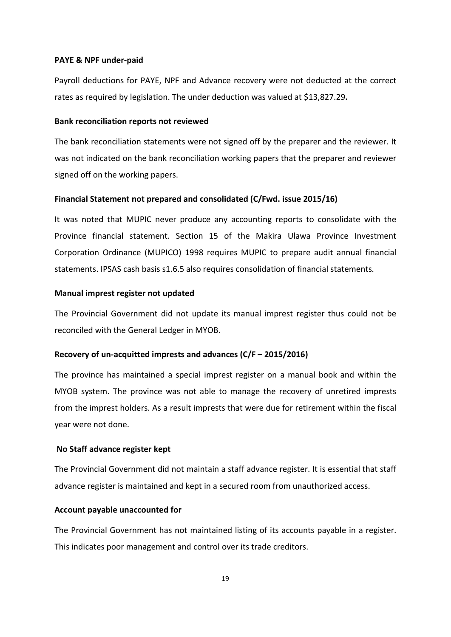#### PAYE & NPF under-paid

Payroll deductions for PAYE, NPF and Advance recovery were not deducted at the correct rates as required by legislation. The under deduction was valued at \$13,827.29.

#### Bank reconciliation reports not reviewed

The bank reconciliation statements were not signed off by the preparer and the reviewer. It was not indicated on the bank reconciliation working papers that the preparer and reviewer signed off on the working papers.

#### Financial Statement not prepared and consolidated (C/Fwd. issue 2015/16)

It was noted that MUPIC never produce any accounting reports to consolidate with the Province financial statement. Section 15 of the Makira Ulawa Province Investment Corporation Ordinance (MUPICO) 1998 requires MUPIC to prepare audit annual financial statements. IPSAS cash basis s1.6.5 also requires consolidation of financial statements.

## Manual imprest register not updated

The Provincial Government did not update its manual imprest register thus could not be reconciled with the General Ledger in MYOB.

#### Recovery of un-acquitted imprests and advances (C/F – 2015/2016)

The province has maintained a special imprest register on a manual book and within the MYOB system. The province was not able to manage the recovery of unretired imprests from the imprest holders. As a result imprests that were due for retirement within the fiscal year were not done.

#### No Staff advance register kept

The Provincial Government did not maintain a staff advance register. It is essential that staff advance register is maintained and kept in a secured room from unauthorized access.

#### Account payable unaccounted for

The Provincial Government has not maintained listing of its accounts payable in a register. This indicates poor management and control over its trade creditors.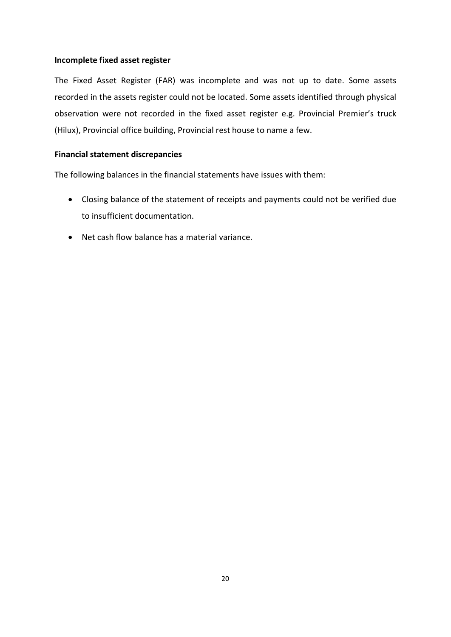## Incomplete fixed asset register

The Fixed Asset Register (FAR) was incomplete and was not up to date. Some assets recorded in the assets register could not be located. Some assets identified through physical observation were not recorded in the fixed asset register e.g. Provincial Premier's truck (Hilux), Provincial office building, Provincial rest house to name a few.

## Financial statement discrepancies

The following balances in the financial statements have issues with them:

- Closing balance of the statement of receipts and payments could not be verified due to insufficient documentation.
- Net cash flow balance has a material variance.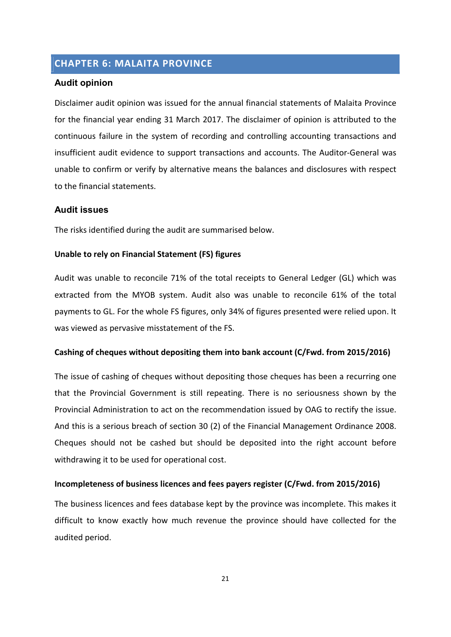# CHAPTER 6: MALAITA PROVINCE

## Audit opinion

Disclaimer audit opinion was issued for the annual financial statements of Malaita Province for the financial year ending 31 March 2017. The disclaimer of opinion is attributed to the continuous failure in the system of recording and controlling accounting transactions and insufficient audit evidence to support transactions and accounts. The Auditor-General was unable to confirm or verify by alternative means the balances and disclosures with respect to the financial statements.

## Audit issues

The risks identified during the audit are summarised below.

#### Unable to rely on Financial Statement (FS) figures

Audit was unable to reconcile 71% of the total receipts to General Ledger (GL) which was extracted from the MYOB system. Audit also was unable to reconcile 61% of the total payments to GL. For the whole FS figures, only 34% of figures presented were relied upon. It was viewed as pervasive misstatement of the FS.

## Cashing of cheques without depositing them into bank account (C/Fwd. from 2015/2016)

The issue of cashing of cheques without depositing those cheques has been a recurring one that the Provincial Government is still repeating. There is no seriousness shown by the Provincial Administration to act on the recommendation issued by OAG to rectify the issue. And this is a serious breach of section 30 (2) of the Financial Management Ordinance 2008. Cheques should not be cashed but should be deposited into the right account before withdrawing it to be used for operational cost.

## Incompleteness of business licences and fees payers register (C/Fwd. from 2015/2016)

The business licences and fees database kept by the province was incomplete. This makes it difficult to know exactly how much revenue the province should have collected for the audited period.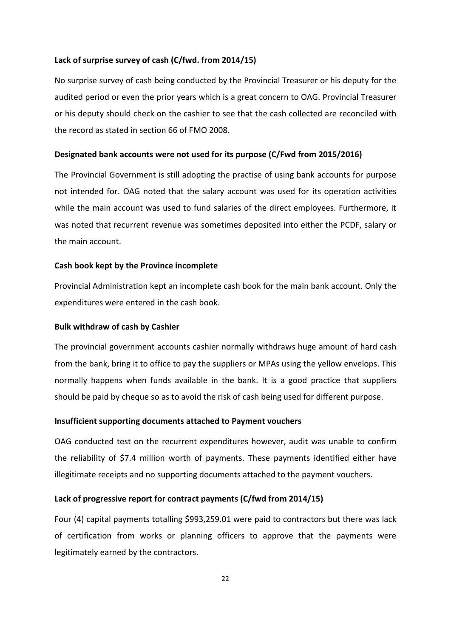## Lack of surprise survey of cash (C/fwd. from 2014/15)

No surprise survey of cash being conducted by the Provincial Treasurer or his deputy for the audited period or even the prior years which is a great concern to OAG. Provincial Treasurer or his deputy should check on the cashier to see that the cash collected are reconciled with the record as stated in section 66 of FMO 2008.

#### Designated bank accounts were not used for its purpose (C/Fwd from 2015/2016)

The Provincial Government is still adopting the practise of using bank accounts for purpose not intended for. OAG noted that the salary account was used for its operation activities while the main account was used to fund salaries of the direct employees. Furthermore, it was noted that recurrent revenue was sometimes deposited into either the PCDF, salary or the main account.

#### Cash book kept by the Province incomplete

Provincial Administration kept an incomplete cash book for the main bank account. Only the expenditures were entered in the cash book.

#### Bulk withdraw of cash by Cashier

The provincial government accounts cashier normally withdraws huge amount of hard cash from the bank, bring it to office to pay the suppliers or MPAs using the yellow envelops. This normally happens when funds available in the bank. It is a good practice that suppliers should be paid by cheque so as to avoid the risk of cash being used for different purpose.

#### Insufficient supporting documents attached to Payment vouchers

OAG conducted test on the recurrent expenditures however, audit was unable to confirm the reliability of \$7.4 million worth of payments. These payments identified either have illegitimate receipts and no supporting documents attached to the payment vouchers.

#### Lack of progressive report for contract payments (C/fwd from 2014/15)

Four (4) capital payments totalling \$993,259.01 were paid to contractors but there was lack of certification from works or planning officers to approve that the payments were legitimately earned by the contractors.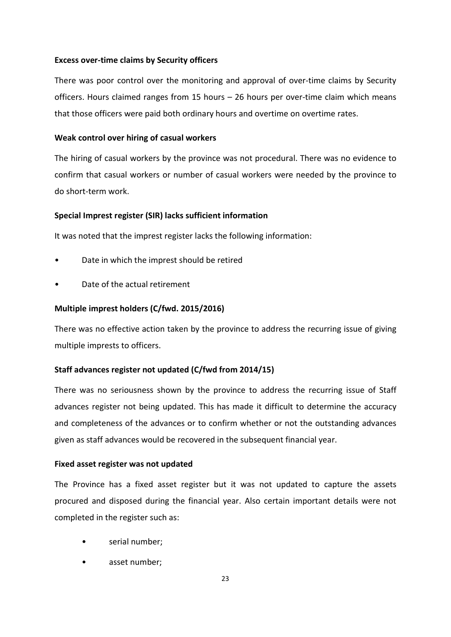## Excess over-time claims by Security officers

There was poor control over the monitoring and approval of over-time claims by Security officers. Hours claimed ranges from 15 hours – 26 hours per over-time claim which means that those officers were paid both ordinary hours and overtime on overtime rates.

## Weak control over hiring of casual workers

The hiring of casual workers by the province was not procedural. There was no evidence to confirm that casual workers or number of casual workers were needed by the province to do short-term work.

## Special Imprest register (SIR) lacks sufficient information

It was noted that the imprest register lacks the following information:

- Date in which the imprest should be retired
- Date of the actual retirement

## Multiple imprest holders (C/fwd. 2015/2016)

There was no effective action taken by the province to address the recurring issue of giving multiple imprests to officers.

## Staff advances register not updated (C/fwd from 2014/15)

There was no seriousness shown by the province to address the recurring issue of Staff advances register not being updated. This has made it difficult to determine the accuracy and completeness of the advances or to confirm whether or not the outstanding advances given as staff advances would be recovered in the subsequent financial year.

## Fixed asset register was not updated

The Province has a fixed asset register but it was not updated to capture the assets procured and disposed during the financial year. Also certain important details were not completed in the register such as:

- serial number:
- asset number;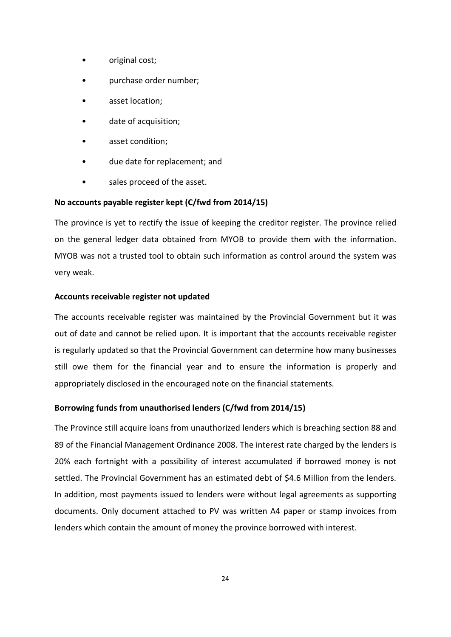- original cost;
- purchase order number;
- asset location;
- date of acquisition;
- asset condition:
- due date for replacement; and
- sales proceed of the asset.

## No accounts payable register kept (C/fwd from 2014/15)

The province is yet to rectify the issue of keeping the creditor register. The province relied on the general ledger data obtained from MYOB to provide them with the information. MYOB was not a trusted tool to obtain such information as control around the system was very weak.

## Accounts receivable register not updated

The accounts receivable register was maintained by the Provincial Government but it was out of date and cannot be relied upon. It is important that the accounts receivable register is regularly updated so that the Provincial Government can determine how many businesses still owe them for the financial year and to ensure the information is properly and appropriately disclosed in the encouraged note on the financial statements.

## Borrowing funds from unauthorised lenders (C/fwd from 2014/15)

The Province still acquire loans from unauthorized lenders which is breaching section 88 and 89 of the Financial Management Ordinance 2008. The interest rate charged by the lenders is 20% each fortnight with a possibility of interest accumulated if borrowed money is not settled. The Provincial Government has an estimated debt of \$4.6 Million from the lenders. In addition, most payments issued to lenders were without legal agreements as supporting documents. Only document attached to PV was written A4 paper or stamp invoices from lenders which contain the amount of money the province borrowed with interest.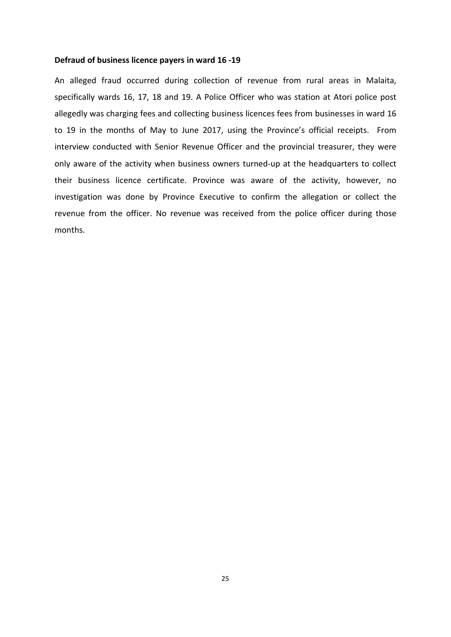#### Defraud of business licence payers in ward 16 -19

An alleged fraud occurred during collection of revenue from rural areas in Malaita, specifically wards 16, 17, 18 and 19. A Police Officer who was station at Atori police post allegedly was charging fees and collecting business licences fees from businesses in ward 16 to 19 in the months of May to June 2017, using the Province's official receipts. From interview conducted with Senior Revenue Officer and the provincial treasurer, they were only aware of the activity when business owners turned-up at the headquarters to collect their business licence certificate. Province was aware of the activity, however, no investigation was done by Province Executive to confirm the allegation or collect the revenue from the officer. No revenue was received from the police officer during those months.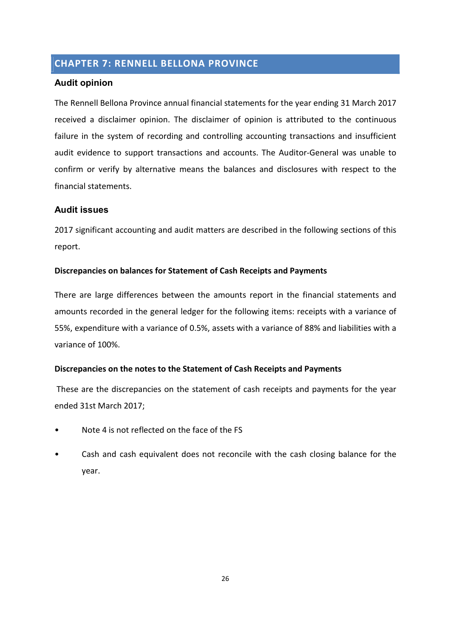# CHAPTER 7: RENNELL BELLONA PROVINCE

## Audit opinion

The Rennell Bellona Province annual financial statements for the year ending 31 March 2017 received a disclaimer opinion. The disclaimer of opinion is attributed to the continuous failure in the system of recording and controlling accounting transactions and insufficient audit evidence to support transactions and accounts. The Auditor-General was unable to confirm or verify by alternative means the balances and disclosures with respect to the financial statements.

## Audit issues

2017 significant accounting and audit matters are described in the following sections of this report.

## Discrepancies on balances for Statement of Cash Receipts and Payments

There are large differences between the amounts report in the financial statements and amounts recorded in the general ledger for the following items: receipts with a variance of 55%, expenditure with a variance of 0.5%, assets with a variance of 88% and liabilities with a variance of 100%.

## Discrepancies on the notes to the Statement of Cash Receipts and Payments

 These are the discrepancies on the statement of cash receipts and payments for the year ended 31st March 2017;

- Note 4 is not reflected on the face of the FS
- Cash and cash equivalent does not reconcile with the cash closing balance for the year.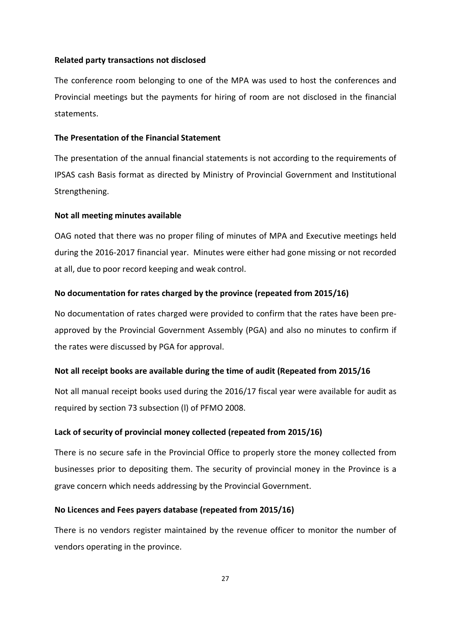## Related party transactions not disclosed

The conference room belonging to one of the MPA was used to host the conferences and Provincial meetings but the payments for hiring of room are not disclosed in the financial statements.

## The Presentation of the Financial Statement

The presentation of the annual financial statements is not according to the requirements of IPSAS cash Basis format as directed by Ministry of Provincial Government and Institutional Strengthening.

#### Not all meeting minutes available

OAG noted that there was no proper filing of minutes of MPA and Executive meetings held during the 2016-2017 financial year. Minutes were either had gone missing or not recorded at all, due to poor record keeping and weak control.

## No documentation for rates charged by the province (repeated from 2015/16)

No documentation of rates charged were provided to confirm that the rates have been preapproved by the Provincial Government Assembly (PGA) and also no minutes to confirm if the rates were discussed by PGA for approval.

## Not all receipt books are available during the time of audit (Repeated from 2015/16

Not all manual receipt books used during the 2016/17 fiscal year were available for audit as required by section 73 subsection (l) of PFMO 2008.

#### Lack of security of provincial money collected (repeated from 2015/16)

There is no secure safe in the Provincial Office to properly store the money collected from businesses prior to depositing them. The security of provincial money in the Province is a grave concern which needs addressing by the Provincial Government.

#### No Licences and Fees payers database (repeated from 2015/16)

There is no vendors register maintained by the revenue officer to monitor the number of vendors operating in the province.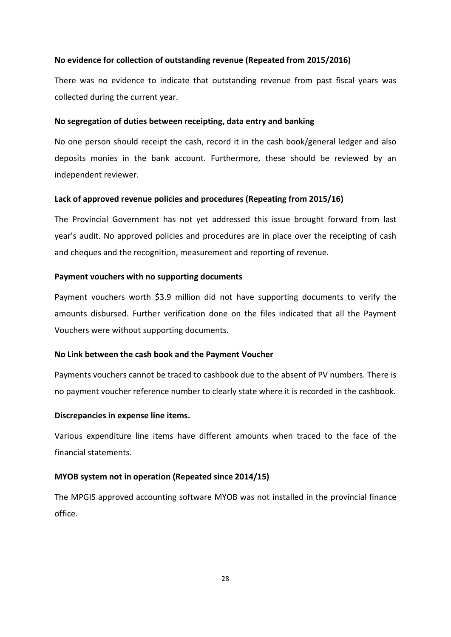## No evidence for collection of outstanding revenue (Repeated from 2015/2016)

There was no evidence to indicate that outstanding revenue from past fiscal years was collected during the current year.

## No segregation of duties between receipting, data entry and banking

No one person should receipt the cash, record it in the cash book/general ledger and also deposits monies in the bank account. Furthermore, these should be reviewed by an independent reviewer.

#### Lack of approved revenue policies and procedures (Repeating from 2015/16)

The Provincial Government has not yet addressed this issue brought forward from last year's audit. No approved policies and procedures are in place over the receipting of cash and cheques and the recognition, measurement and reporting of revenue.

## Payment vouchers with no supporting documents

Payment vouchers worth \$3.9 million did not have supporting documents to verify the amounts disbursed. Further verification done on the files indicated that all the Payment Vouchers were without supporting documents.

#### No Link between the cash book and the Payment Voucher

Payments vouchers cannot be traced to cashbook due to the absent of PV numbers. There is no payment voucher reference number to clearly state where it is recorded in the cashbook.

#### Discrepancies in expense line items.

Various expenditure line items have different amounts when traced to the face of the financial statements.

#### MYOB system not in operation (Repeated since 2014/15)

The MPGIS approved accounting software MYOB was not installed in the provincial finance office.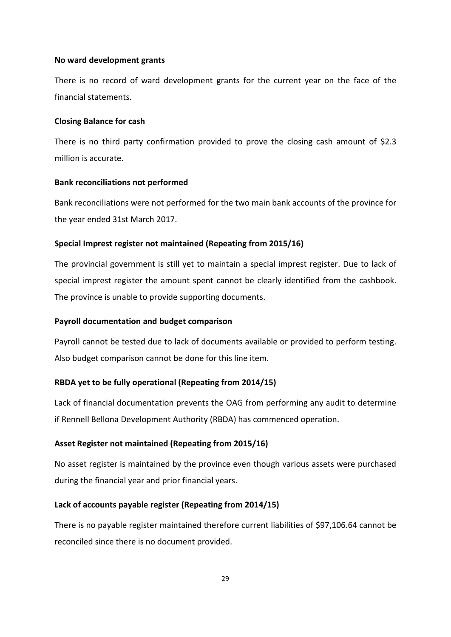## No ward development grants

There is no record of ward development grants for the current year on the face of the financial statements.

### Closing Balance for cash

There is no third party confirmation provided to prove the closing cash amount of \$2.3 million is accurate.

#### Bank reconciliations not performed

Bank reconciliations were not performed for the two main bank accounts of the province for the year ended 31st March 2017.

## Special Imprest register not maintained (Repeating from 2015/16)

The provincial government is still yet to maintain a special imprest register. Due to lack of special imprest register the amount spent cannot be clearly identified from the cashbook. The province is unable to provide supporting documents.

#### Payroll documentation and budget comparison

Payroll cannot be tested due to lack of documents available or provided to perform testing. Also budget comparison cannot be done for this line item.

## RBDA yet to be fully operational (Repeating from 2014/15)

Lack of financial documentation prevents the OAG from performing any audit to determine if Rennell Bellona Development Authority (RBDA) has commenced operation.

#### Asset Register not maintained (Repeating from 2015/16)

No asset register is maintained by the province even though various assets were purchased during the financial year and prior financial years.

#### Lack of accounts payable register (Repeating from 2014/15)

There is no payable register maintained therefore current liabilities of \$97,106.64 cannot be reconciled since there is no document provided.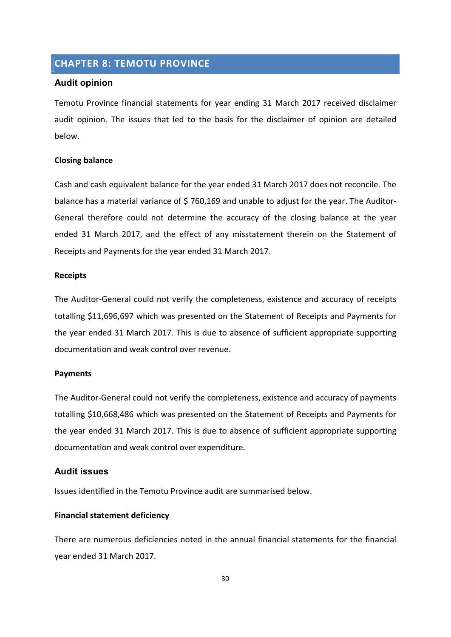## CHAPTER 8: TEMOTU PROVINCE

## Audit opinion

Temotu Province financial statements for year ending 31 March 2017 received disclaimer audit opinion. The issues that led to the basis for the disclaimer of opinion are detailed below.

#### Closing balance

Cash and cash equivalent balance for the year ended 31 March 2017 does not reconcile. The balance has a material variance of \$760,169 and unable to adjust for the year. The Auditor-General therefore could not determine the accuracy of the closing balance at the year ended 31 March 2017, and the effect of any misstatement therein on the Statement of Receipts and Payments for the year ended 31 March 2017.

#### Receipts

The Auditor-General could not verify the completeness, existence and accuracy of receipts totalling \$11,696,697 which was presented on the Statement of Receipts and Payments for the year ended 31 March 2017. This is due to absence of sufficient appropriate supporting documentation and weak control over revenue.

#### Payments

The Auditor-General could not verify the completeness, existence and accuracy of payments totalling \$10,668,486 which was presented on the Statement of Receipts and Payments for the year ended 31 March 2017. This is due to absence of sufficient appropriate supporting documentation and weak control over expenditure.

## Audit issues

Issues identified in the Temotu Province audit are summarised below.

#### Financial statement deficiency

There are numerous deficiencies noted in the annual financial statements for the financial year ended 31 March 2017.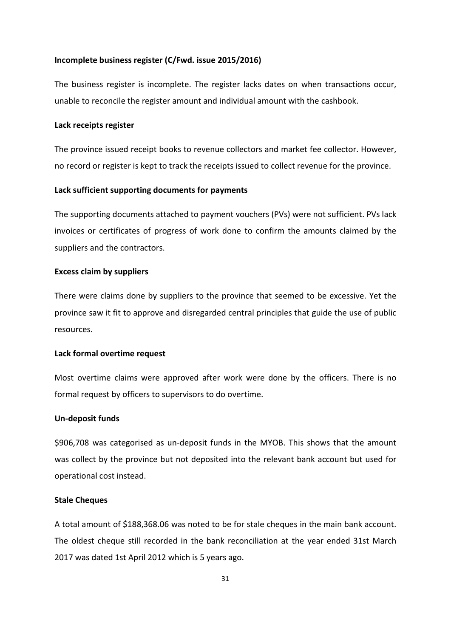#### Incomplete business register (C/Fwd. issue 2015/2016)

The business register is incomplete. The register lacks dates on when transactions occur, unable to reconcile the register amount and individual amount with the cashbook.

#### Lack receipts register

The province issued receipt books to revenue collectors and market fee collector. However, no record or register is kept to track the receipts issued to collect revenue for the province.

#### Lack sufficient supporting documents for payments

The supporting documents attached to payment vouchers (PVs) were not sufficient. PVs lack invoices or certificates of progress of work done to confirm the amounts claimed by the suppliers and the contractors.

#### Excess claim by suppliers

There were claims done by suppliers to the province that seemed to be excessive. Yet the province saw it fit to approve and disregarded central principles that guide the use of public resources.

## Lack formal overtime request

Most overtime claims were approved after work were done by the officers. There is no formal request by officers to supervisors to do overtime.

#### Un-deposit funds

\$906,708 was categorised as un-deposit funds in the MYOB. This shows that the amount was collect by the province but not deposited into the relevant bank account but used for operational cost instead.

#### Stale Cheques

A total amount of \$188,368.06 was noted to be for stale cheques in the main bank account. The oldest cheque still recorded in the bank reconciliation at the year ended 31st March 2017 was dated 1st April 2012 which is 5 years ago.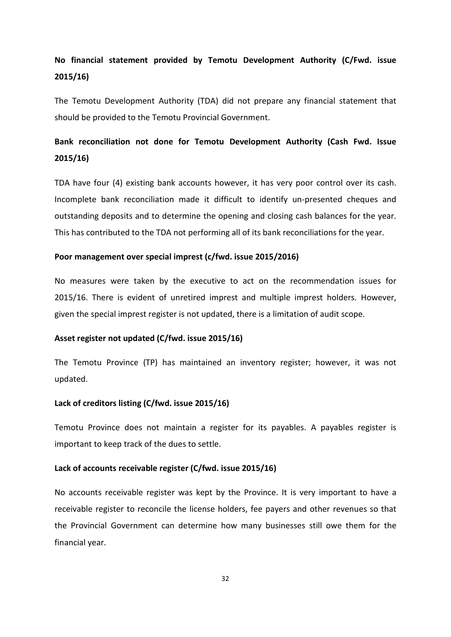# No financial statement provided by Temotu Development Authority (C/Fwd. issue 2015/16)

The Temotu Development Authority (TDA) did not prepare any financial statement that should be provided to the Temotu Provincial Government.

# Bank reconciliation not done for Temotu Development Authority (Cash Fwd. Issue 2015/16)

TDA have four (4) existing bank accounts however, it has very poor control over its cash. Incomplete bank reconciliation made it difficult to identify un-presented cheques and outstanding deposits and to determine the opening and closing cash balances for the year. This has contributed to the TDA not performing all of its bank reconciliations for the year.

#### Poor management over special imprest (c/fwd. issue 2015/2016)

No measures were taken by the executive to act on the recommendation issues for 2015/16. There is evident of unretired imprest and multiple imprest holders. However, given the special imprest register is not updated, there is a limitation of audit scope.

## Asset register not updated (C/fwd. issue 2015/16)

The Temotu Province (TP) has maintained an inventory register; however, it was not updated.

## Lack of creditors listing (C/fwd. issue 2015/16)

Temotu Province does not maintain a register for its payables. A payables register is important to keep track of the dues to settle.

## Lack of accounts receivable register (C/fwd. issue 2015/16)

No accounts receivable register was kept by the Province. It is very important to have a receivable register to reconcile the license holders, fee payers and other revenues so that the Provincial Government can determine how many businesses still owe them for the financial year.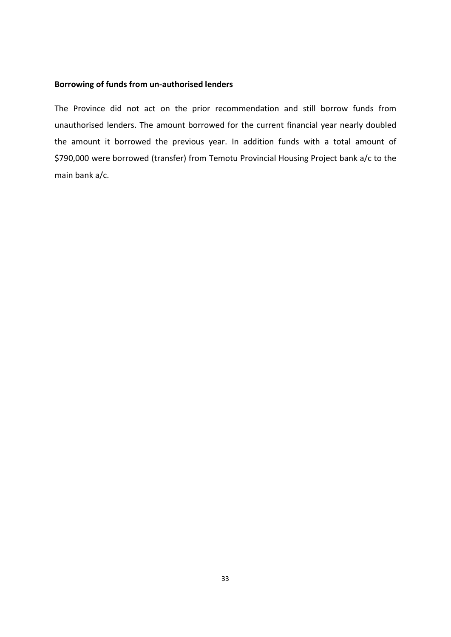## Borrowing of funds from un-authorised lenders

The Province did not act on the prior recommendation and still borrow funds from unauthorised lenders. The amount borrowed for the current financial year nearly doubled the amount it borrowed the previous year. In addition funds with a total amount of \$790,000 were borrowed (transfer) from Temotu Provincial Housing Project bank a/c to the main bank a/c.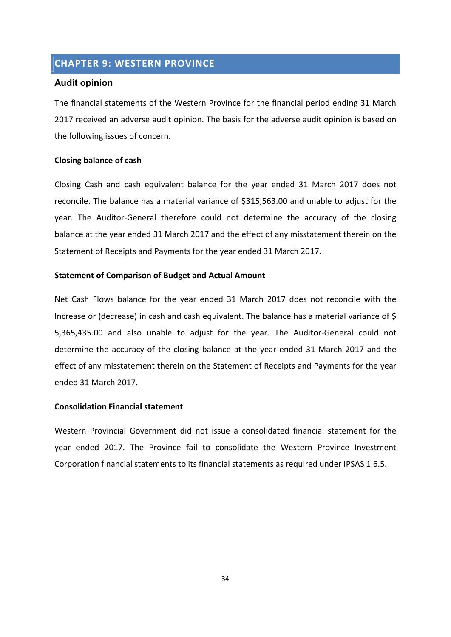## CHAPTER 9: WESTERN PROVINCE

## Audit opinion

The financial statements of the Western Province for the financial period ending 31 March 2017 received an adverse audit opinion. The basis for the adverse audit opinion is based on the following issues of concern.

## Closing balance of cash

Closing Cash and cash equivalent balance for the year ended 31 March 2017 does not reconcile. The balance has a material variance of \$315,563.00 and unable to adjust for the year. The Auditor-General therefore could not determine the accuracy of the closing balance at the year ended 31 March 2017 and the effect of any misstatement therein on the Statement of Receipts and Payments for the year ended 31 March 2017.

## Statement of Comparison of Budget and Actual Amount

Net Cash Flows balance for the year ended 31 March 2017 does not reconcile with the Increase or (decrease) in cash and cash equivalent. The balance has a material variance of \$ 5,365,435.00 and also unable to adjust for the year. The Auditor-General could not determine the accuracy of the closing balance at the year ended 31 March 2017 and the effect of any misstatement therein on the Statement of Receipts and Payments for the year ended 31 March 2017.

## Consolidation Financial statement

Western Provincial Government did not issue a consolidated financial statement for the year ended 2017. The Province fail to consolidate the Western Province Investment Corporation financial statements to its financial statements as required under IPSAS 1.6.5.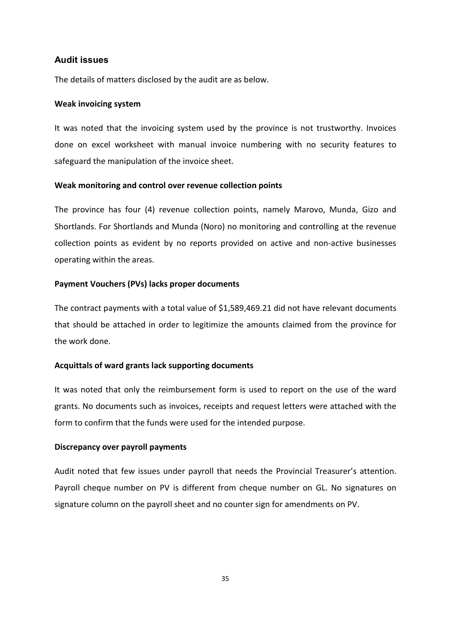## Audit issues

The details of matters disclosed by the audit are as below.

#### Weak invoicing system

It was noted that the invoicing system used by the province is not trustworthy. Invoices done on excel worksheet with manual invoice numbering with no security features to safeguard the manipulation of the invoice sheet.

## Weak monitoring and control over revenue collection points

The province has four (4) revenue collection points, namely Marovo, Munda, Gizo and Shortlands. For Shortlands and Munda (Noro) no monitoring and controlling at the revenue collection points as evident by no reports provided on active and non-active businesses operating within the areas.

#### Payment Vouchers (PVs) lacks proper documents

The contract payments with a total value of \$1,589,469.21 did not have relevant documents that should be attached in order to legitimize the amounts claimed from the province for the work done.

## Acquittals of ward grants lack supporting documents

It was noted that only the reimbursement form is used to report on the use of the ward grants. No documents such as invoices, receipts and request letters were attached with the form to confirm that the funds were used for the intended purpose.

#### Discrepancy over payroll payments

Audit noted that few issues under payroll that needs the Provincial Treasurer's attention. Payroll cheque number on PV is different from cheque number on GL. No signatures on signature column on the payroll sheet and no counter sign for amendments on PV.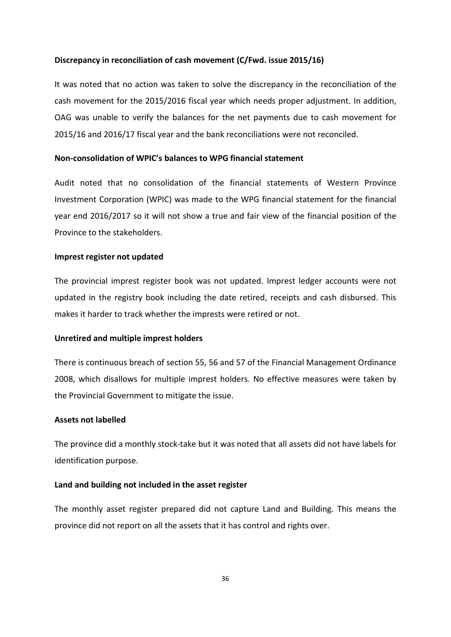## Discrepancy in reconciliation of cash movement (C/Fwd. issue 2015/16)

It was noted that no action was taken to solve the discrepancy in the reconciliation of the cash movement for the 2015/2016 fiscal year which needs proper adjustment. In addition, OAG was unable to verify the balances for the net payments due to cash movement for 2015/16 and 2016/17 fiscal year and the bank reconciliations were not reconciled.

## Non-consolidation of WPIC's balances to WPG financial statement

Audit noted that no consolidation of the financial statements of Western Province Investment Corporation (WPIC) was made to the WPG financial statement for the financial year end 2016/2017 so it will not show a true and fair view of the financial position of the Province to the stakeholders.

#### Imprest register not updated

The provincial imprest register book was not updated. Imprest ledger accounts were not updated in the registry book including the date retired, receipts and cash disbursed. This makes it harder to track whether the imprests were retired or not.

#### Unretired and multiple imprest holders

There is continuous breach of section 55, 56 and 57 of the Financial Management Ordinance 2008, which disallows for multiple imprest holders. No effective measures were taken by the Provincial Government to mitigate the issue.

## Assets not labelled

The province did a monthly stock-take but it was noted that all assets did not have labels for identification purpose.

## Land and building not included in the asset register

The monthly asset register prepared did not capture Land and Building. This means the province did not report on all the assets that it has control and rights over.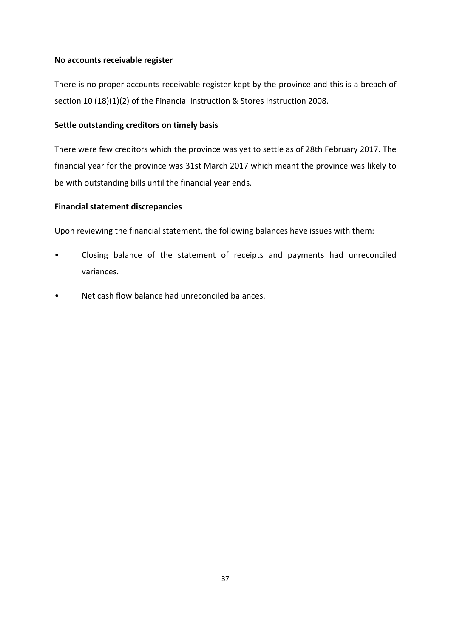## No accounts receivable register

There is no proper accounts receivable register kept by the province and this is a breach of section 10 (18)(1)(2) of the Financial Instruction & Stores Instruction 2008.

## Settle outstanding creditors on timely basis

There were few creditors which the province was yet to settle as of 28th February 2017. The financial year for the province was 31st March 2017 which meant the province was likely to be with outstanding bills until the financial year ends.

## Financial statement discrepancies

Upon reviewing the financial statement, the following balances have issues with them:

- Closing balance of the statement of receipts and payments had unreconciled variances.
- Net cash flow balance had unreconciled balances.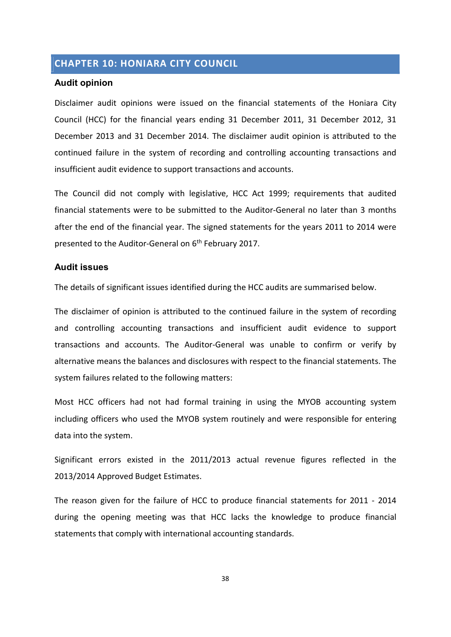# CHAPTER 10: HONIARA CITY COUNCIL

## Audit opinion

Disclaimer audit opinions were issued on the financial statements of the Honiara City Council (HCC) for the financial years ending 31 December 2011, 31 December 2012, 31 December 2013 and 31 December 2014. The disclaimer audit opinion is attributed to the continued failure in the system of recording and controlling accounting transactions and insufficient audit evidence to support transactions and accounts.

The Council did not comply with legislative, HCC Act 1999; requirements that audited financial statements were to be submitted to the Auditor-General no later than 3 months after the end of the financial year. The signed statements for the years 2011 to 2014 were presented to the Auditor-General on 6<sup>th</sup> February 2017.

## Audit issues

The details of significant issues identified during the HCC audits are summarised below.

The disclaimer of opinion is attributed to the continued failure in the system of recording and controlling accounting transactions and insufficient audit evidence to support transactions and accounts. The Auditor-General was unable to confirm or verify by alternative means the balances and disclosures with respect to the financial statements. The system failures related to the following matters:

Most HCC officers had not had formal training in using the MYOB accounting system including officers who used the MYOB system routinely and were responsible for entering data into the system.

Significant errors existed in the 2011/2013 actual revenue figures reflected in the 2013/2014 Approved Budget Estimates.

The reason given for the failure of HCC to produce financial statements for 2011 - 2014 during the opening meeting was that HCC lacks the knowledge to produce financial statements that comply with international accounting standards.

38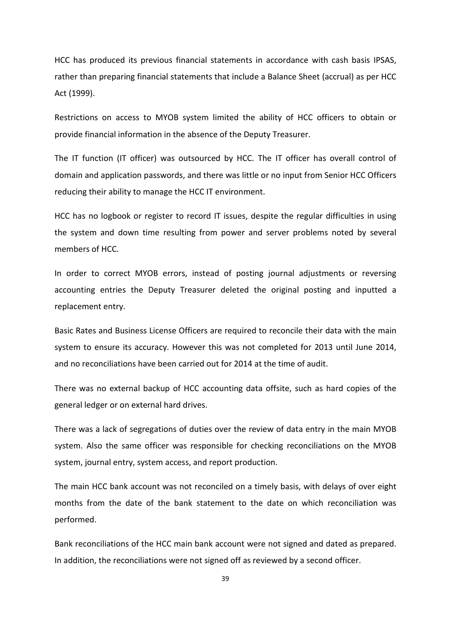HCC has produced its previous financial statements in accordance with cash basis IPSAS, rather than preparing financial statements that include a Balance Sheet (accrual) as per HCC Act (1999).

Restrictions on access to MYOB system limited the ability of HCC officers to obtain or provide financial information in the absence of the Deputy Treasurer.

The IT function (IT officer) was outsourced by HCC. The IT officer has overall control of domain and application passwords, and there was little or no input from Senior HCC Officers reducing their ability to manage the HCC IT environment.

HCC has no logbook or register to record IT issues, despite the regular difficulties in using the system and down time resulting from power and server problems noted by several members of HCC.

In order to correct MYOB errors, instead of posting journal adjustments or reversing accounting entries the Deputy Treasurer deleted the original posting and inputted a replacement entry.

Basic Rates and Business License Officers are required to reconcile their data with the main system to ensure its accuracy. However this was not completed for 2013 until June 2014, and no reconciliations have been carried out for 2014 at the time of audit.

There was no external backup of HCC accounting data offsite, such as hard copies of the general ledger or on external hard drives.

There was a lack of segregations of duties over the review of data entry in the main MYOB system. Also the same officer was responsible for checking reconciliations on the MYOB system, journal entry, system access, and report production.

The main HCC bank account was not reconciled on a timely basis, with delays of over eight months from the date of the bank statement to the date on which reconciliation was performed.

Bank reconciliations of the HCC main bank account were not signed and dated as prepared. In addition, the reconciliations were not signed off as reviewed by a second officer.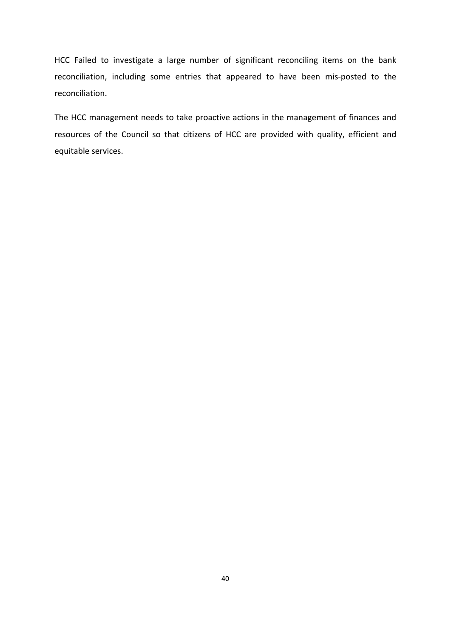HCC Failed to investigate a large number of significant reconciling items on the bank reconciliation, including some entries that appeared to have been mis-posted to the reconciliation.

The HCC management needs to take proactive actions in the management of finances and resources of the Council so that citizens of HCC are provided with quality, efficient and equitable services.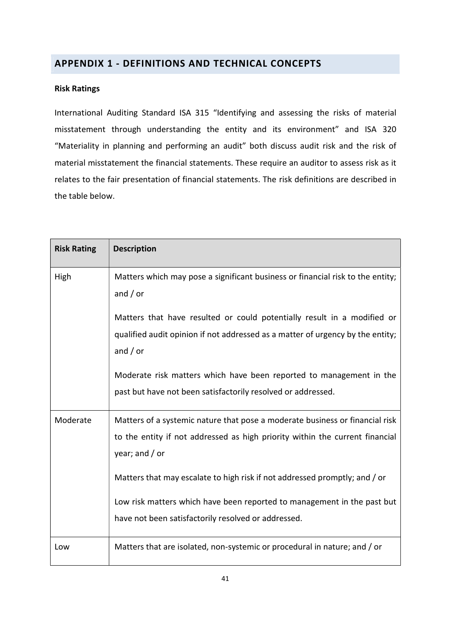# APPENDIX 1 - DEFINITIONS AND TECHNICAL CONCEPTS

## Risk Ratings

International Auditing Standard ISA 315 "Identifying and assessing the risks of material misstatement through understanding the entity and its environment" and ISA 320 "Materiality in planning and performing an audit" both discuss audit risk and the risk of material misstatement the financial statements. These require an auditor to assess risk as it relates to the fair presentation of financial statements. The risk definitions are described in the table below.

| <b>Risk Rating</b> | <b>Description</b>                                                                                                                                                                                                                                                                                                                                                                               |
|--------------------|--------------------------------------------------------------------------------------------------------------------------------------------------------------------------------------------------------------------------------------------------------------------------------------------------------------------------------------------------------------------------------------------------|
| High               | Matters which may pose a significant business or financial risk to the entity;<br>and $/$ or                                                                                                                                                                                                                                                                                                     |
|                    | Matters that have resulted or could potentially result in a modified or<br>qualified audit opinion if not addressed as a matter of urgency by the entity;<br>and $/$ or                                                                                                                                                                                                                          |
|                    | Moderate risk matters which have been reported to management in the<br>past but have not been satisfactorily resolved or addressed.                                                                                                                                                                                                                                                              |
| Moderate           | Matters of a systemic nature that pose a moderate business or financial risk<br>to the entity if not addressed as high priority within the current financial<br>year; and $/$ or<br>Matters that may escalate to high risk if not addressed promptly; and / or<br>Low risk matters which have been reported to management in the past but<br>have not been satisfactorily resolved or addressed. |
| Low                | Matters that are isolated, non-systemic or procedural in nature; and / or                                                                                                                                                                                                                                                                                                                        |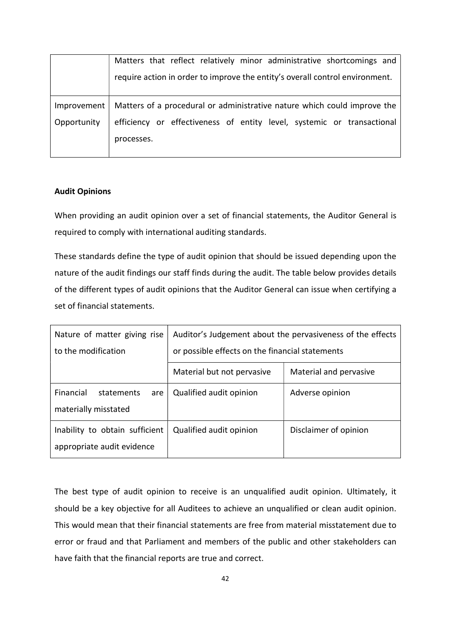|             | Matters that reflect relatively minor administrative shortcomings and        |
|-------------|------------------------------------------------------------------------------|
|             | require action in order to improve the entity's overall control environment. |
|             |                                                                              |
| Improvement | Matters of a procedural or administrative nature which could improve the     |
| Opportunity | efficiency or effectiveness of entity level, systemic or transactional       |
|             | processes.                                                                   |
|             |                                                                              |

## Audit Opinions

When providing an audit opinion over a set of financial statements, the Auditor General is required to comply with international auditing standards.

These standards define the type of audit opinion that should be issued depending upon the nature of the audit findings our staff finds during the audit. The table below provides details of the different types of audit opinions that the Auditor General can issue when certifying a set of financial statements.

| Nature of matter giving rise   | Auditor's Judgement about the pervasiveness of the effects |                        |  |
|--------------------------------|------------------------------------------------------------|------------------------|--|
| to the modification            | or possible effects on the financial statements            |                        |  |
|                                | Material but not pervasive                                 | Material and pervasive |  |
| Financial<br>statements<br>are | Qualified audit opinion                                    | Adverse opinion        |  |
| materially misstated           |                                                            |                        |  |
| Inability to obtain sufficient | Qualified audit opinion                                    | Disclaimer of opinion  |  |
| appropriate audit evidence     |                                                            |                        |  |

The best type of audit opinion to receive is an unqualified audit opinion. Ultimately, it should be a key objective for all Auditees to achieve an unqualified or clean audit opinion. This would mean that their financial statements are free from material misstatement due to error or fraud and that Parliament and members of the public and other stakeholders can have faith that the financial reports are true and correct.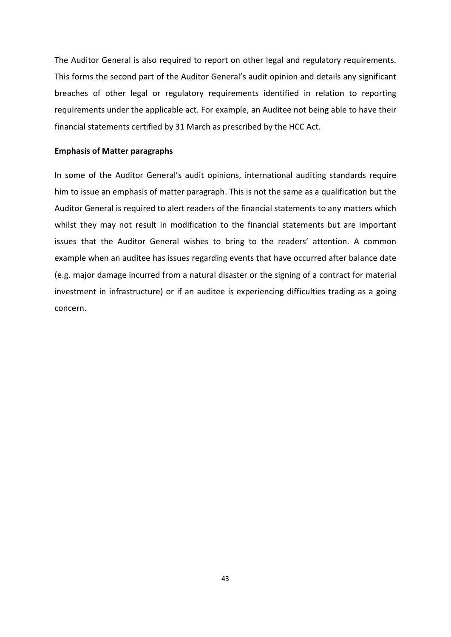The Auditor General is also required to report on other legal and regulatory requirements. This forms the second part of the Auditor General's audit opinion and details any significant breaches of other legal or regulatory requirements identified in relation to reporting requirements under the applicable act. For example, an Auditee not being able to have their financial statements certified by 31 March as prescribed by the HCC Act.

#### Emphasis of Matter paragraphs

In some of the Auditor General's audit opinions, international auditing standards require him to issue an emphasis of matter paragraph. This is not the same as a qualification but the Auditor General is required to alert readers of the financial statements to any matters which whilst they may not result in modification to the financial statements but are important issues that the Auditor General wishes to bring to the readers' attention. A common example when an auditee has issues regarding events that have occurred after balance date (e.g. major damage incurred from a natural disaster or the signing of a contract for material investment in infrastructure) or if an auditee is experiencing difficulties trading as a going concern.